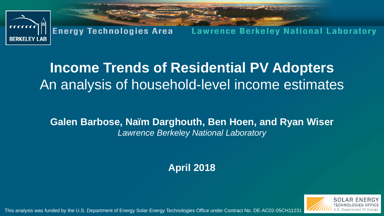

# **Income Trends of Residential PV Adopters** An analysis of household-level income estimates

**Galen Barbose, Naïm Darghouth, Ben Hoen, and Ryan Wiser** *Lawrence Berkeley National Laboratory*

**April 2018**



This analysis was funded by the U.S. Department of Energy Solar Energy Technologies Office under Contract No. DE-AC02-05CH11231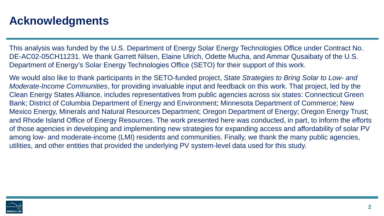## **Acknowledgments**

This analysis was funded by the U.S. Department of Energy Solar Energy Technologies Office under Contract No. DE-AC02-05CH11231. We thank Garrett Nilsen, Elaine Ulrich, Odette Mucha, and Ammar Qusaibaty of the U.S. Department of Energy's Solar Energy Technologies Office (SETO) for their support of this work.

We would also like to thank participants in the SETO-funded project, *State Strategies to Bring Solar to Low- and Moderate-Income Communities*, for providing invaluable input and feedback on this work. That project, led by the Clean Energy States Alliance, includes representatives from public agencies across six states: Connecticut Green Bank; District of Columbia Department of Energy and Environment; Minnesota Department of Commerce; New Mexico Energy, Minerals and Natural Resources Department; Oregon Department of Energy; Oregon Energy Trust; and Rhode Island Office of Energy Resources. The work presented here was conducted, in part, to inform the efforts of those agencies in developing and implementing new strategies for expanding access and affordability of solar PV among low- and moderate-income (LMI) residents and communities. Finally, we thank the many public agencies, utilities, and other entities that provided the underlying PV system-level data used for this study.

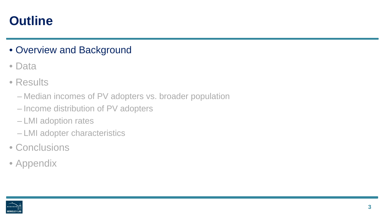## **Outline**

### • Overview and Background

- Data
- Results
	- Median incomes of PV adopters vs. broader population
	- Income distribution of PV adopters
	- LMI adoption rates
	- LMI adopter characteristics
- Conclusions
- Appendix

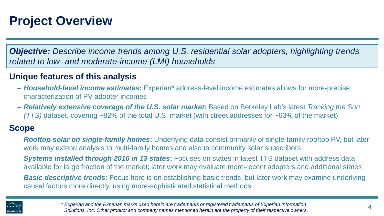# **Project Overview**

*Objective: Describe income trends among U.S. residential solar adopters, highlighting trends related to low- and moderate-income (LMI) households*

#### **Unique features of this analysis**

- *Household-level income estimates***:** Experian\* address-level income estimates allows for more-precise characterization of PV-adopter incomes
- *Relatively extensive coverage of the U.S. solar market***:** Based on Berkeley Lab's latest *Tracking the Sun (TTS)* dataset, covering ~82% of the total U.S. market (with street addresses for ~63% of the market)

#### **Scope**

- *Rooftop solar on single-family homes***:** Underlying data consist primarily of single-family rooftop PV, but later work may extend analysis to multi-family homes and also to community solar subscribers
- *Systems installed through 2016 in 13 states***:** Focuses on states in latest TTS dataset with address data available for large fraction of the market; later work may evaluate more-recent adopters and additional states
- *Basic descriptive trends***:** Focus here is on establishing basic trends, but later work may examine underlying causal factors more directly, using more-sophisticated statistical methods



*\* Experian and the Experian marks used herein are trademarks or registered trademarks of Experian Information Solutions, Inc. Other product and company names mentioned herein are the property of their respective owners.*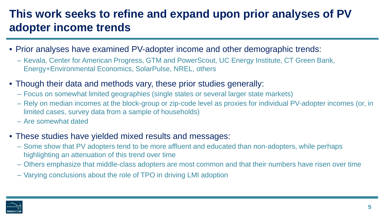## **This work seeks to refine and expand upon prior analyses of PV adopter income trends**

- Prior analyses have examined PV-adopter income and other demographic trends:
	- Kevala, Center for American Progress, GTM and PowerScout, UC Energy Institute, CT Green Bank, Energy+Environmental Economics, SolarPulse, NREL, others
- Though their data and methods vary, these prior studies generally:
	- Focus on somewhat limited geographies (single states or several larger state markets)
	- Rely on median incomes at the block-group or zip-code level as proxies for individual PV-adopter incomes (or, in limited cases, survey data from a sample of households)
	- Are somewhat dated
- These studies have yielded mixed results and messages:
	- Some show that PV adopters tend to be more affluent and educated than non-adopters, while perhaps highlighting an attenuation of this trend over time
	- Others emphasize that middle-class adopters are most common and that their numbers have risen over time
	- Varying conclusions about the role of TPO in driving LMI adoption

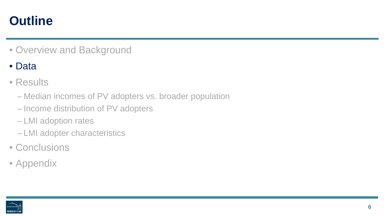## **Outline**

• Overview and Background

### • Data

- Results
	- Median incomes of PV adopters vs. broader population
	- Income distribution of PV adopters
	- LMI adoption rates
	- LMI adopter characteristics
- Conclusions
- Appendix

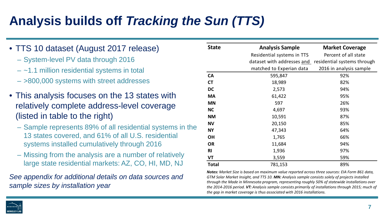# **Analysis builds off** *Tracking the Sun (TTS)*

- TTS 10 dataset (August 2017 release)
	- System-level PV data through 2016
	- $-$  ~1.1 million residential systems in total
	- >800,000 systems with street addresses
- This analysis focuses on the 13 states with relatively complete address-level coverage (listed in table to the right)
	- Sample represents 89% of all residential systems in the 13 states covered, and 61% of all U.S. residential systems installed cumulatively through 2016
	- Missing from the analysis are a number of relatively large state residential markets: AZ, CO, HI, MD, NJ

*See appendix for additional details on data sources and sample sizes by installation year*

| <b>State</b> | <b>Analysis Sample</b>     | <b>Market Coverage</b>      |  |  |  |  |
|--------------|----------------------------|-----------------------------|--|--|--|--|
|              | Residential systems in TTS | Percent of all state        |  |  |  |  |
|              | dataset with addresses and | residential systems through |  |  |  |  |
|              | matched to Experian data   | 2016 in analysis sample     |  |  |  |  |
| <b>CA</b>    | 595,847                    | 92%                         |  |  |  |  |
| <b>CT</b>    | 18,989                     | 82%                         |  |  |  |  |
| <b>DC</b>    | 2,573                      | 94%                         |  |  |  |  |
| <b>MA</b>    | 61,422                     | 95%                         |  |  |  |  |
| <b>MN</b>    | 597                        | 26%                         |  |  |  |  |
| <b>NC</b>    | 4,697                      | 93%                         |  |  |  |  |
| <b>NM</b>    | 10,591                     | 87%                         |  |  |  |  |
| <b>NV</b>    | 20,150                     | 85%                         |  |  |  |  |
| <b>NY</b>    | 47,343                     | 64%                         |  |  |  |  |
| <b>OH</b>    | 1,765                      | 66%                         |  |  |  |  |
| <b>OR</b>    | 11,684                     | 94%                         |  |  |  |  |
| <b>RI</b>    | 1,936                      | 97%                         |  |  |  |  |
| VT           | 3,559                      | 59%                         |  |  |  |  |
| Total        | 781,153                    | 89%                         |  |  |  |  |

*Notes: Market Size is based on maximum value reported across three sources: EIA Form 861 data, GTM Solar Market Insight, and TTS 10. MN: Analysis sample consists solely of projects installed through the Made in Minnesota program, representing roughly 50% of statewide installations over the 2014-2016 period. VT: Analysis sample consists primarily of installations through 2015; much of the gap in market coverage is thus associated with 2016 installations.*

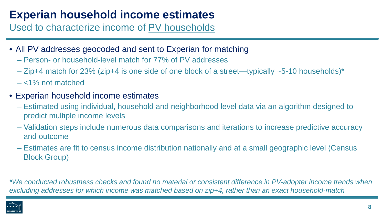## **Experian household income estimates**

Used to characterize income of PV households

- All PV addresses geocoded and sent to Experian for matching
	- Person- or household-level match for 77% of PV addresses
	- Zip+4 match for 23% (zip+4 is one side of one block of a street—typically ~5-10 households)\*
	- <1% not matched
- Experian household income estimates
	- Estimated using individual, household and neighborhood level data via an algorithm designed to predict multiple income levels
	- Validation steps include numerous data comparisons and iterations to increase predictive accuracy and outcome
	- Estimates are fit to census income distribution nationally and at a small geographic level (Census Block Group)

*\*We conducted robustness checks and found no material or consistent difference in PV-adopter income trends when excluding addresses for which income was matched based on zip+4, rather than an exact household-match*

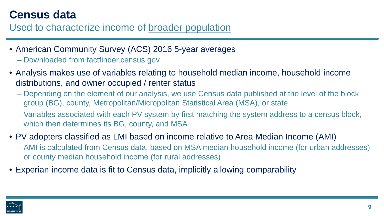## **Census data**

Used to characterize income of broader population

- American Community Survey (ACS) 2016 5-year averages
	- Downloaded from factfinder.census.gov
- Analysis makes use of variables relating to household median income, household income distributions, and owner occupied / renter status
	- Depending on the element of our analysis, we use Census data published at the level of the block group (BG), county, Metropolitan/Micropolitan Statistical Area (MSA), or state
	- Variables associated with each PV system by first matching the system address to a census block, which then determines its BG, county, and MSA
- PV adopters classified as LMI based on income relative to Area Median Income (AMI)
	- AMI is calculated from Census data, based on MSA median household income (for urban addresses) or county median household income (for rural addresses)
- Experian income data is fit to Census data, implicitly allowing comparability

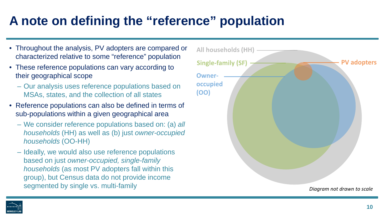# **A note on defining the "reference" population**

- Throughout the analysis, PV adopters are compared or characterized relative to some "reference" population
- These reference populations can vary according to their geographical scope
	- Our analysis uses reference populations based on MSAs, states, and the collection of all states
- Reference populations can also be defined in terms of sub-populations within a given geographical area
	- We consider reference populations based on: (a) *all households* (HH) as well as (b) just *owner-occupied households* (OO-HH)
	- Ideally, we would also use reference populations based on just *owner-occupied, single-family households* (as most PV adopters fall within this group), but Census data do not provide income



**BERKELEY LA**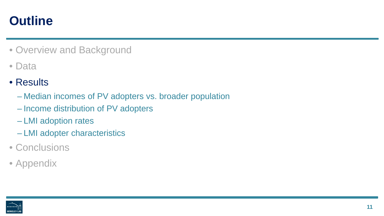## **Outline**

- Overview and Background
- Data
- Results
	- Median incomes of PV adopters vs. broader population
	- Income distribution of PV adopters
	- LMI adoption rates
	- LMI adopter characteristics
- Conclusions
- Appendix

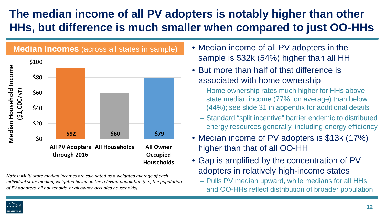## **The median income of all PV adopters is notably higher than other HHs, but difference is much smaller when compared to just OO-HHs**



*Notes: Multi-state median incomes are calculated as a weighted average of each individual state median, weighted based on the relevant population (i.e., the population of PV adopters, all households, or all owner-occupied households).*

- Median income of all PV adopters in the sample is \$32k (54%) higher than all HH
- But more than half of that difference is associated with home ownership
	- Home ownership rates much higher for HHs above state median income (77%, on average) than below (44%); see slide 31 in appendix for additional details
	- Standard "split incentive" barrier endemic to distributed energy resources generally, including energy efficiency
- Median income of PV adopters is \$13k (17%) higher than that of all OO-HH
- Gap is amplified by the concentration of PV adopters in relatively high-income states
	- Pulls PV median upward, while medians for all HHs and OO-HHs reflect distribution of broader population

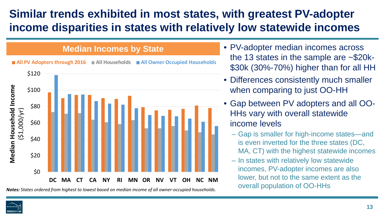## **Similar trends exhibited in most states, with greatest PV-adopter income disparities in states with relatively low statewide incomes**

#### **Median Incomes by State**



*Notes: States ordered from highest to lowest based on median income of all owner-occupied households.*

- PV-adopter median incomes across the 13 states in the sample are ~\$20k- \$30k (30%-70%) higher than for all HH
- Differences consistently much smaller when comparing to just OO-HH
- Gap between PV adopters and all OO-HHs vary with overall statewide income levels
	- Gap is smaller for high-income states—and is even inverted for the three states (DC, MA, CT) with the highest statewide incomes
	- In states with relatively low statewide incomes, PV-adopter incomes are also lower, but not to the same extent as the overall population of OO-HHs

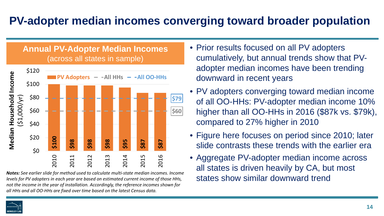## **PV-adopter median incomes converging toward broader population**

#### **Annual PV-Adopter Median Incomes**  (across all states in sample)



*Notes: See earlier slide for method used to calculate multi-state median incomes. Income levels for PV adopters in each year are based on estimated current income of those HHs, not the income in the year of installation. Accordingly, the reference incomes shown for* 

- Prior results focused on all PV adopters cumulatively, but annual trends show that PVadopter median incomes have been trending downward in recent years
- PV adopters converging toward median income of all OO-HHs: PV-adopter median income 10% higher than all OO-HHs in 2016 (\$87k vs. \$79k), compared to 27% higher in 2010
- Figure here focuses on period since 2010; later slide contrasts these trends with the earlier era
- Aggregate PV-adopter median income across all states is driven heavily by CA, but most states show similar downward trend

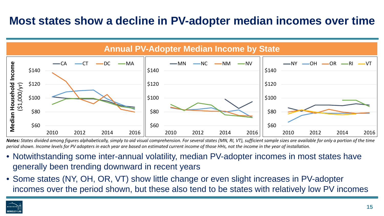### **Most states show a decline in PV-adopter median incomes over time**



*Notes: States divided among figures alphabetically, simply to aid visual comprehension. For several states (MN, RI, VT), sufficient sample sizes are available for only a portion of the time period shown. Income levels for PV adopters in each year are based on estimated current income of those HHs, not the income in the year of installation.* 

- Notwithstanding some inter-annual volatility, median PV-adopter incomes in most states have generally been trending downward in recent years
- Some states (NY, OH, OR, VT) show little change or even slight increases in PV-adopter incomes over the period shown, but these also tend to be states with relatively low PV incomes

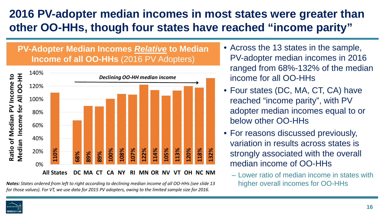## **2016 PV-adopter median incomes in most states were greater than other OO-HHs, though four states have reached "income parity"**

#### **PV-Adopter Median Incomes** *Relative* **to Median Income of all OO-HHs** (2016 PV Adopters)



*Notes: States ordered from left to right according to declining median income of all OO-HHs (see slide 13* 

- Across the 13 states in the sample, PV-adopter median incomes in 2016 ranged from 68%-132% of the median income for all OO-HHs
- Four states (DC, MA, CT, CA) have reached "income parity", with PV adopter median incomes equal to or below other OO-HHs
- For reasons discussed previously, variation in results across states is strongly associated with the overall median income of OO-HHs
	- Lower ratio of median income in states with higher overall incomes for OO-HHs

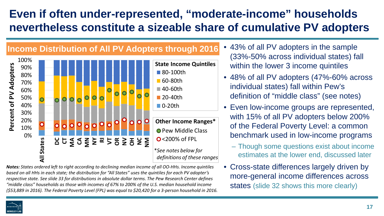## **Even if often under-represented, "moderate-income" households nevertheless constitute a sizeable share of cumulative PV adopters**



*Notes: States ordered left to right according to declining median income of all OO-HHs. Income quintiles based on all HHs in each state; the distribution for "All States" uses the quintiles for each PV adopter's respective state. See slide 33 for distributions in absolute dollar terms. The Pew Research Center defines "middle class" households as those with incomes of 67% to 200% of the U.S. median household income (\$53,889 in 2016). The Federal Poverty Level (FPL) was equal to \$20,420 for a 3-person household in 2016.*

- 43% of all PV adopters in the sample (33%-50% across individual states) fall within the lower 3 income quintiles
- 48% of all PV adopters (47%-60% across individual states) fall within Pew's definition of "middle class" (see notes)
- Even low-income groups are represented, with 15% of all PV adopters below 200% of the Federal Poverty Level: a common benchmark used in low-income programs
	- Though some questions exist about income estimates at the lower end, discussed later
- Cross-state differences largely driven by more-general income differences across states (slide 32 shows this more clearly)

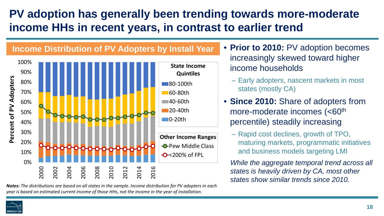## **PV adoption has generally been trending towards more-moderate income HHs in recent years, in contrast to earlier trend**



*Notes: The distributions are based on all states in the sample. Income distribution for PV adopters in each year is based on estimated current income of those HHs, not the income in the year of installation.* 

• **Prior to 2010:** PV adoption becomes increasingly skewed toward higher income households

- Early adopters, nascent markets in most states (mostly CA)
- **Since 2010:** Share of adopters from more-moderate incomes (<60<sup>th</sup>) percentile) steadily increasing
	- Rapid cost declines, growth of TPO, maturing markets, programmatic initiatives and business models targeting LMI

*While the aggregate temporal trend across all states is heavily driven by CA, most other states show similar trends since 2010.*

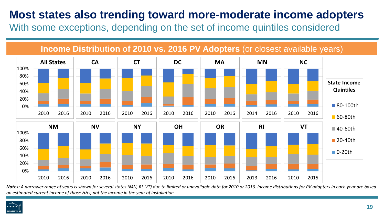### **Most states also trending toward more-moderate income adopters**

With some exceptions, depending on the set of income quintiles considered

**Income Distribution of 2010 vs. 2016 PV Adopters** (or closest available years)



*Notes: A narrower range of years is shown for several states (MN, RI, VT) due to limited or unavailable data for 2010 or 2016. Income distributions for PV adopters in each year are based on estimated current income of those HHs, not the income in the year of installation.* 

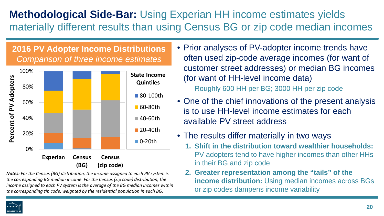### **Methodological Side-Bar:** Using Experian HH income estimates yields materially different results than using Census BG or zip code median incomes

**2016 PV Adopter Income Distributions** *Comparison of three income estimates* 



*Notes: For the Census (BG) distribution, the income assigned to each PV system is the corresponding BG median income. For the Census (zip code) distribution, the income assigned to each PV system is the average of the BG median incomes within the corresponding zip code, weighted by the residential population in each BG.* 

- Prior analyses of PV-adopter income trends have often used zip-code average incomes (for want of customer street addresses) or median BG incomes (for want of HH-level income data)
	- Roughly 600 HH per BG; 3000 HH per zip code
- One of the chief innovations of the present analysis is to use HH-level income estimates for each available PV street address
- The results differ materially in two ways
	- **1. Shift in the distribution toward wealthier households:**  PV adopters tend to have higher incomes than other HHs in their BG and zip code
	- **2. Greater representation among the "tails" of the income distribution:** Using median incomes across BGs or zip codes dampens income variability

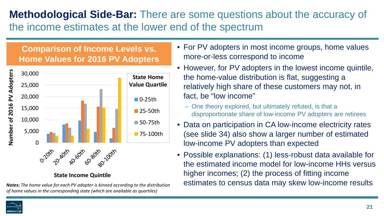### **Methodological Side-Bar:** There are some questions about the accuracy of the income estimates at the lower end of the spectrum

#### **Comparison of Income Levels vs. Home Values for 2016 PV Adopters**



**State Income Quintile**

*Notes: The home value for each PV adopter is binned according to the distribution of home values in the corresponding state (which are available as quartiles)*

- For PV adopters in most income groups, home values more-or-less correspond to income
- However, for PV adopters in the lowest income quintile, the home-value distribution is flat, suggesting a relatively high share of these customers may not, in fact, be "low income"
	- One theory explored, but ultimately refuted, is that a disproportionate share of low-income PV adopters are retirees
- Data on participation in CA low-income electricity rates (see slide 34) also show a larger number of estimated low-income PV adopters than expected
- Possible explanations: (1) less-robust data available for the estimated income model for low-income HHs versus higher incomes; (2) the process of fitting income estimates to census data may skew low-income results

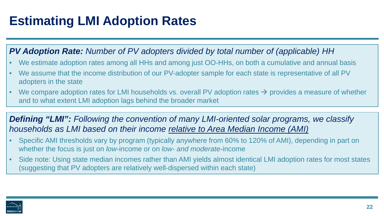# **Estimating LMI Adoption Rates**

#### *PV Adoption Rate: Number of PV adopters divided by total number of (applicable) HH*

- We estimate adoption rates among all HHs and among just OO-HHs, on both a cumulative and annual basis
- We assume that the income distribution of our PV-adopter sample for each state is representative of all PV adopters in the state
- We compare adoption rates for LMI households vs. overall PV adoption rates  $\rightarrow$  provides a measure of whether and to what extent LMI adoption lags behind the broader market

#### *Defining "LMI": Following the convention of many LMI-oriented solar programs, we classify households as LMI based on their income relative to Area Median Income (AMI)*

- Specific AMI thresholds vary by program (typically anywhere from 60% to 120% of AMI), depending in part on whether the focus is just on *low-*income or on *low- and moderate*-income
- Side note: Using state median incomes rather than AMI yields almost identical LMI adoption rates for most states (suggesting that PV adopters are relatively well-dispersed within each state)

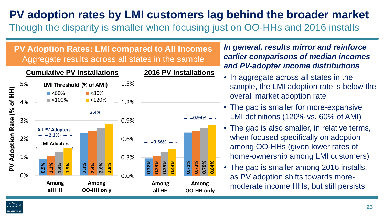### **PV adoption rates by LMI customers lag behind the broader market** Though the disparity is smaller when focusing just on OO-HHs and 2016 installs

**PV Adoption Rates: LMI compared to All Incomes** Aggregate results across all states in the sample



*In general, results mirror and reinforce earlier comparisons of median incomes and PV-adopter income distributions*

- In aggregate across all states in the sample, the LMI adoption rate is below the overall market adoption rate
- The gap is smaller for more-expansive LMI definitions (120% vs. 60% of AMI)
- The gap is also smaller, in relative terms, when focused specifically on adoption among OO-HHs (given lower rates of home-ownership among LMI customers)
- The gap is smaller among 2016 installs, as PV adoption shifts towards moremoderate income HHs, but still persists

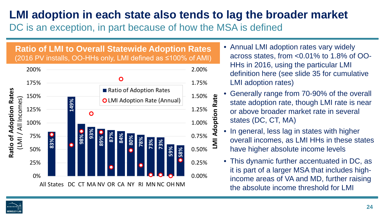## **LMI adoption in each state also tends to lag the broader market**

DC is an exception, in part because of how the MSA is defined

#### **Ratio of LMI to Overall Statewide Adoption Rates**  (2016 PV installs, OO-HHs only, LMI defined as ≤100% of AMI)



- Annual LMI adoption rates vary widely across states, from <0.01% to 1.8% of OO-HHs in 2016, using the particular LMI definition here (see slide 35 for cumulative LMI adoption rates)
- Generally range from 70-90% of the overall state adoption rate, though LMI rate is near or above broader market rate in several states (DC, CT, MA)
- **Adoption Rate LMI Adoption Rate** • In general, less lag in states with higher overall incomes, as LMI HHs in these states  $\overline{M}$ have higher absolute income levels
- This dynamic further accentuated in DC, as it is part of a larger MSA that includes highincome areas of VA and MD, further raising the absolute income threshold for LMI

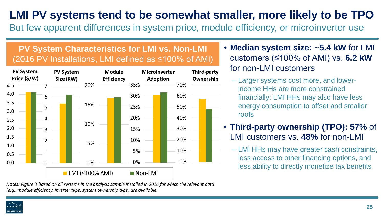## **LMI PV systems tend to be somewhat smaller, more likely to be TPO**

But few apparent differences in system price, module efficiency, or microinverter use

#### **PV System Characteristics for LMI vs. Non-LMI** (2016 PV Installations, LMI defined as ≤100% of AMI)



- **Median system size:** ~**5.4 kW** for LMI customers (≤100% of AMI) vs. **6.2 kW** for non-LMI customers
	- Larger systems cost more, and lowerincome HHs are more constrained financially; LMI HHs may also have less energy consumption to offset and smaller roofs
- **Third-party ownership (TPO): 57%** of LMI customers vs. **48%** for non-LMI
	- LMI HHs may have greater cash constraints, less access to other financing options, and less ability to directly monetize tax benefits

*Notes: Figure is based on all systems in the analysis sample installed in 2016 for which the relevant data (e.g., module efficiency, inverter type, system ownership type) are available.* 

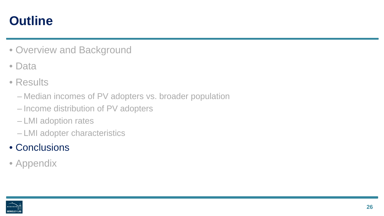## **Outline**

- Overview and Background
- Data
- Results
	- Median incomes of PV adopters vs. broader population
	- Income distribution of PV adopters
	- LMI adoption rates
	- LMI adopter characteristics
- Conclusions
- Appendix

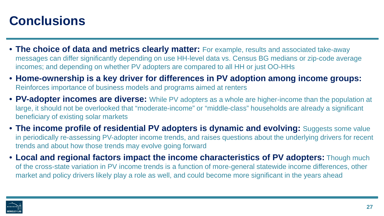## **Conclusions**

- **The choice of data and metrics clearly matter:** For example, results and associated take-away messages can differ significantly depending on use HH-level data vs. Census BG medians or zip-code average incomes; and depending on whether PV adopters are compared to all HH or just OO-HHs
- **Home-ownership is a key driver for differences in PV adoption among income groups:**  Reinforces importance of business models and programs aimed at renters
- **PV-adopter incomes are diverse:** While PV adopters as a whole are higher-income than the population at large, it should not be overlooked that "moderate-income" or "middle-class" households are already a significant beneficiary of existing solar markets
- **The income profile of residential PV adopters is dynamic and evolving:** Suggests some value in periodically re-assessing PV-adopter income trends, and raises questions about the underlying drivers for recent trends and about how those trends may evolve going forward
- **Local and regional factors impact the income characteristics of PV adopters:** Though much of the cross-state variation in PV income trends is a function of more-general statewide income differences, other market and policy drivers likely play a role as well, and could become more significant in the years ahead

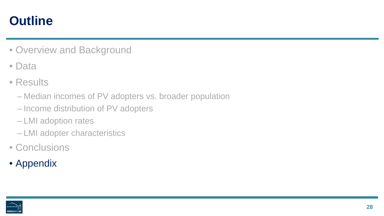## **Outline**

- Overview and Background
- Data
- Results
	- Median incomes of PV adopters vs. broader population
	- Income distribution of PV adopters
	- LMI adoption rates
	- LMI adopter characteristics
- Conclusions
- Appendix

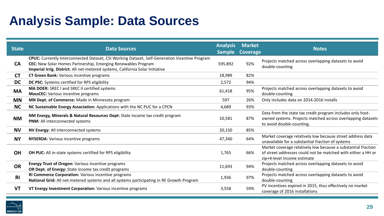# **Analysis Sample: Data Sources**

| <b>State</b> | <b>Data Sources</b>                                                                                                                                                                                                                               | <b>Analysis</b><br><b>Sample</b> | <b>Market</b><br>Coverage | <b>Notes</b>                                                                                                                                                 |
|--------------|---------------------------------------------------------------------------------------------------------------------------------------------------------------------------------------------------------------------------------------------------|----------------------------------|---------------------------|--------------------------------------------------------------------------------------------------------------------------------------------------------------|
| <b>CA</b>    | CPUC: Currently Interconnected Dataset, CSI Working Dataset, Self-Generation Incentive Program<br>CEC: New Solar Homes Partnership, Emerging Renewables Program<br>Imperial Irrig. District: All net-metered systems, California Solar Initiative | 595,892                          | 92%                       | Projects matched across overlapping datasets to avoid<br>double-counting                                                                                     |
| <b>CT</b>    | <b>CT Green Bank:</b> Various incentive programs                                                                                                                                                                                                  | 18,989                           | 82%                       |                                                                                                                                                              |
| <b>DC</b>    | DC PSC: Systems certified for RPS eligibility                                                                                                                                                                                                     | 2,572                            | 94%                       |                                                                                                                                                              |
| <b>MA</b>    | MA DOER: SREC I and SREC II certified systems<br><b>MassCEC:</b> Various incentive programs                                                                                                                                                       | 61,418                           | 95%                       | Projects matched across overlapping datasets to avoid<br>double-counting                                                                                     |
| <b>MN</b>    | MN Dept. of Commerce: Made in Minnesota program                                                                                                                                                                                                   | 597                              | 26%                       | Only includes data on 2014-2016 installs                                                                                                                     |
| <b>NC</b>    | NC Sustainable Energy Association: Applications with the NC PUC for a CPCN                                                                                                                                                                        | 4,689                            | 93%                       |                                                                                                                                                              |
| <b>NM</b>    | NM Energy, Minerals & Natural Resources Dept: State income tax credit program<br>PNM: All interconnected systems                                                                                                                                  | 10,581                           | 87%                       | Data from the state tax credit program includes only host-<br>owned systems. Projects matched across overlapping datasets<br>to avoid double-counting.       |
| <b>NV</b>    | NV Energy: All interconnected systems                                                                                                                                                                                                             | 20,150                           | 85%                       |                                                                                                                                                              |
| <b>NY</b>    | <b>NYSERDA:</b> Various incentive programs                                                                                                                                                                                                        | 47,340                           | 64%                       | Market coverage relatively low because street address data<br>unavailable for a substantial fraction of systems                                              |
| <b>OH</b>    | OH PUC: All in-state systems certified for RPS eligibility                                                                                                                                                                                        | 1,765                            | 66%                       | Market coverage relatively low because a substantial fraction<br>of street addresses could not be matched with either a HH or<br>zip+4-level income estimate |
| <b>OR</b>    | Energy Trust of Oregon: Various incentive programs<br>OR Dept. of Energy: State income tax credit programs                                                                                                                                        | 11,693                           | 94%                       | Projects matched across overlapping datasets to avoid<br>double-counting                                                                                     |
| <b>RI</b>    | RI Commerce Corporation: Various incentive programs<br>National Grid: All net-metered systems and all systems participating in RE Growth Program                                                                                                  | 1,936                            | 97%                       | Projects matched across overlapping datasets to avoid<br>double-counting                                                                                     |
| <b>VT</b>    | VT Energy Investment Corporation: Various incentive programs                                                                                                                                                                                      | 3,558                            | 59%                       | PV incentives expired in 2015, thus effectively no market<br>coverage of 2016 installations                                                                  |

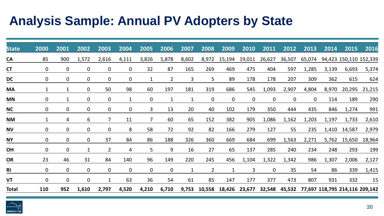## **Analysis Sample: Annual PV Adopters by State**

|              | 2000           | 2001           | 2002           | 2003           | 2004           | 2005           | 2006         | 2007           | 2008           | 2009           | 2010           | 2011           | 2012           | 2013           | 2014                                         | 2015                   | 2016   |
|--------------|----------------|----------------|----------------|----------------|----------------|----------------|--------------|----------------|----------------|----------------|----------------|----------------|----------------|----------------|----------------------------------------------|------------------------|--------|
| <b>State</b> |                |                |                |                |                |                |              |                |                |                |                |                |                |                |                                              |                        |        |
| <b>CA</b>    | 85             | 900            | 1,572          | 2,616          | 4,111          | 3,826          | 5,878        | 8,602          | 8,972          | 15,194         | 19,011         | 26,627         | 36,507         | 65,074         |                                              | 94,423 150,110 152,339 |        |
| <b>CT</b>    | $\mathbf{0}$   | $\mathbf 0$    | $\mathbf 0$    | $\mathbf 0$    | $\mathbf{0}$   | 32             | 87           | 165            | 269            | 469            | 475            | 404            | 597            | 1,285          | 3,139                                        | 6,693                  | 5,374  |
| <b>DC</b>    | 0              | $\mathbf 0$    | $\overline{0}$ | $\mathbf 0$    | $\mathbf 0$    | $\mathbf{1}$   | $2^{\circ}$  | $\overline{3}$ | 5              | 89             | 178            | 178            | 207            | 309            | 362                                          | 615                    | 624    |
| <b>MA</b>    | $\mathbf{1}$   | $\mathbf{1}$   | $\overline{0}$ | 50             | 98             | 60             | 197          | 181            | 319            | 686            | 545            | 1,093          | 2,907          | 4,804          | 8,970                                        | 20,295                 | 21,215 |
| <b>MN</b>    | 0              | $\mathbf{1}$   | $\mathbf 0$    | $\mathbf 0$    | $\mathbf{1}$   | $\overline{0}$ | $\mathbf{1}$ | $\mathbf{1}$   | $\overline{0}$ | $\overline{0}$ | $\overline{0}$ | $\overline{0}$ | $\overline{0}$ | $\overline{0}$ | 114                                          | 189                    | 290    |
| <b>NC</b>    | $\mathbf{0}$   | $\mathbf 0$    | $\mathbf 0$    | $\overline{0}$ | $\overline{0}$ | $\mathbf{3}$   | 13           | 20             | 40             | 102            | 179            | 350            | 444            | 435            | 846                                          | 1,274                  | 991    |
| <b>NM</b>    | $\mathbf{1}$   | $\overline{4}$ | 6              | $\overline{7}$ | 11             | $\overline{7}$ | 60           | 65             | 152            | 382            | 905            | 1,086          | 1,162          | 1,203          | 1,197                                        | 1,733                  | 2,610  |
| <b>NV</b>    | 0              | $\mathbf 0$    | $\mathbf 0$    | $\overline{0}$ | 8              | 58             | 72           | 92             | 82             | 166            | 279            | 127            | 55             | 235            |                                              | 1,410 14,587           | 2,979  |
| <b>NY</b>    | $\overline{0}$ | $\overline{0}$ | $\mathbf 0$    | 37             | 84             | 86             | 188          | 326            | 360            | 669            | 684            | 699            | 1,563          | 2,271          |                                              | 5,762 15,650           | 18,964 |
| OH           | 0              | $\mathbf 0$    | $\mathbf{1}$   | $2^{\circ}$    | 4              | 5              | 9            | 16             | 27             | 65             | 137            | 285            | 240            | 234            | 248                                          | 293                    | 199    |
| <b>OR</b>    | 23             | 46             | 31             | 84             | 140            | 96             | 149          | 220            | 245            | 456            | 1,104          | 1,322          | 1,342          | 986            | 1,307                                        | 2,006                  | 2,127  |
| <b>RI</b>    | $\mathbf{0}$   | $\mathbf 0$    | $\overline{0}$ | $\overline{0}$ | $\overline{0}$ | $\overline{0}$ | $\mathbf 0$  | $\mathbf{1}$   | $\overline{2}$ | $\mathbf{1}$   | $\overline{3}$ | $\overline{0}$ | 35             | 54             | 86                                           | 339                    | 1,415  |
| <b>VT</b>    | $\overline{0}$ | $\mathbf 0$    | $\overline{0}$ | $\mathbf{1}$   | 63             | 36             | 54           | 61             | 85             | 147            | 177            | 377            | 473            | 807            | 931                                          | 332                    | 15     |
| <b>Total</b> | 110            | 952            | 1,610          | 2,797          | 4,520          | 4,210          | 6,710        | 9,753          | 10,558         | 18,426         | 23,677         |                |                |                | 32,548 45,532 77,697 118,795 214,116 209,142 |                        |        |

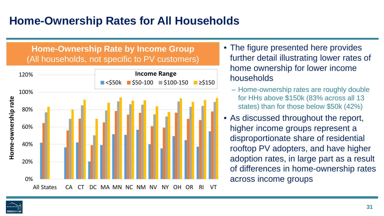## **Home-Ownership Rates for All Households**

#### **Home-Ownership Rate by Income Group** (All households, not specific to PV customers)



- The figure presented here provides further detail illustrating lower rates of home ownership for lower income households
	- Home-ownership rates are roughly double for HHs above \$150k (83% across all 13 states) than for those below \$50k (42%)
- As discussed throughout the report, higher income groups represent a disproportionate share of residential rooftop PV adopters, and have higher adoption rates, in large part as a result of differences in home-ownership rates across income groups

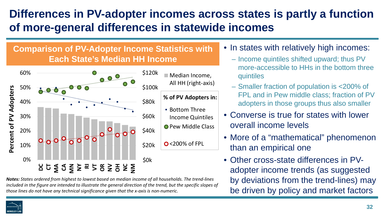## **Differences in PV-adopter incomes across states is partly a function of more-general differences in statewide incomes**

#### **Comparison of PV-Adopter Income Statistics with Each State's Median HH Income**



*Notes: States ordered from highest to lowest based on median income of all households. The trend-lines included in the figure are intended to illustrate the general direction of the trend, but the specific slopes of those lines do not have any technical significance given that the x-axis is non-numeric.* 

- In states with relatively high incomes:
	- Income quintiles shifted upward; thus PV more-accessible to HHs in the bottom three quintiles
	- Smaller fraction of population is <200% of FPL and in Pew middle class; fraction of PV adopters in those groups thus also smaller
- Converse is true for states with lower overall income levels
- More of a "mathematical" phenomenon than an empirical one
- Other cross-state differences in PVadopter income trends (as suggested by deviations from the trend-lines) may be driven by policy and market factors

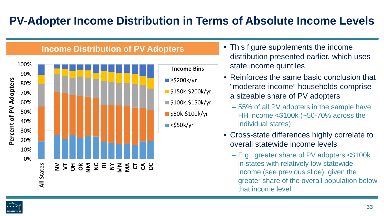# **BERKELEY LA**

## **PV-Adopter Income Distribution in Terms of Absolute Income Levels**



#### **Income Distribution of PV Adopters**

- This figure supplements the income distribution presented earlier, which uses state income quintiles
- Reinforces the same basic conclusion that "moderate-income" households comprise a sizeable share of PV adopters
	- 55% of all PV adopters in the sample have HH income <\$100k (~50-70% across the individual states)
- Cross-state differences highly correlate to overall statewide income levels
	- E.g., greater share of PV adopters <\$100k in states with relatively low statewide income (see previous slide), given the greater share of the overall population below that income level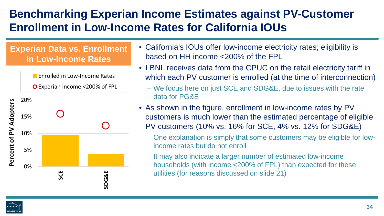## **Benchmarking Experian Income Estimates against PV-Customer Enrollment in Low-Income Rates for California IOUs**

#### **Experian Data vs. Enrollment in Low-Income Rates**



- California's IOUs offer low-income electricity rates; eligibility is based on HH income <200% of the FPL
- LBNL receives data from the CPUC on the retail electricity tariff in which each PV customer is enrolled (at the time of interconnection)
	- We focus here on just SCE and SDG&E, due to issues with the rate data for PG&E
- As shown in the figure, enrollment in low-income rates by PV customers is much lower than the estimated percentage of eligible PV customers (10% vs. 16% for SCE, 4% vs. 12% for SDG&E)
	- One explanation is simply that some customers may be eligible for lowincome rates but do not enroll
	- It may also indicate a larger number of estimated low-income households (with income <200% of FPL) than expected for these utilities (for reasons discussed on slide 21)

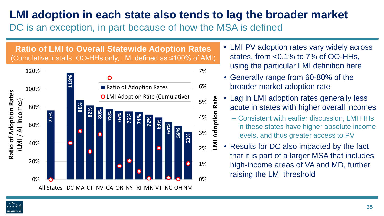## **LMI adoption in each state also tends to lag the broader market**

Rate

doption

DC is an exception, in part because of how the MSA is defined

**Ratio of LMI to Overall Statewide Adoption Rates**  (Cumulative installs, OO-HHs only, LMI defined as ≤100% of AMI)



- LMI PV adoption rates vary widely across states, from <0.1% to 7% of OO-HHs, using the particular LMI definition here
- Generally range from 60-80% of the broader market adoption rate
- Lag in LMI adoption rates generally less acute in states with higher overall incomes
	- Consistent with earlier discussion, LMI HHs in these states have higher absolute income levels, and thus greater access to PV
- **LMI Adoption Rate**  $\overline{\mathbf{z}}$ • Results for DC also impacted by the fact that it is part of a larger MSA that includes high-income areas of VA and MD, further raising the LMI threshold